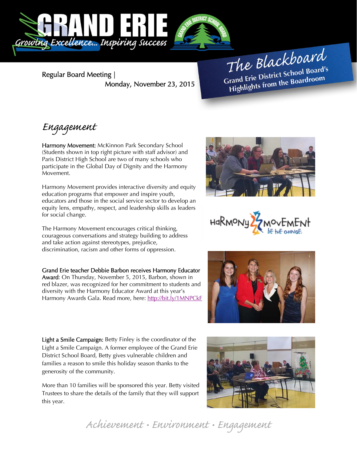

Regular Board Meeting | Monday, November 23, 2015

The Blackboard The Burner School Board's<br>Grand Erie District School Board's rand Erie District School Board<br>Highlights from the Boardroom

## Engagement

Harmony Movement: McKinnon Park Secondary School (Students shown in top right picture with staff advisor) and Paris District High School are two of many schools who participate in the Global Day of Dignity and the Harmony Movement.

Harmony Movement provides interactive diversity and equity education programs that empower and inspire youth, educators and those in the social service sector to develop an equity lens, empathy, respect, and leadership skills as leaders for social change.

The Harmony Movement encourages critical thinking, courageous conversations and strategy building to address and take action against stereotypes, prejudice, discrimination, racism and other forms of oppression.

Grand Erie teacher Debbie Barbon receives Harmony Educator Award: On Thursday, November 5, 2015, Barbon, shown in red blazer, was recognized for her commitment to students and diversity with the Harmony Educator Award at this year's Harmony Awards Gala. Read more, here: http://bit.ly/1MNPCkF

Light a Smile Campaign: Betty Finley is the coordinator of the Light a Smile Campaign. A former employee of the Grand Erie District School Board, Betty gives vulnerable children and families a reason to smile this holiday season thanks to the generosity of the community.

More than 10 families will be sponsored this year. Betty visited Trustees to share the details of the family that they will support this year.









Achievement • Environment • Engagement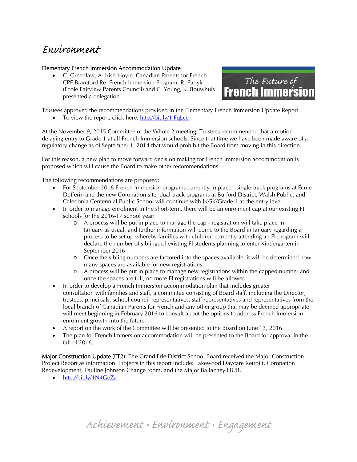## Environment

## Elementary French Immersion Accommodation Update

 C. Greenlaw, A. Irish Hoyle, Canadian Parents for French CPF Brantford Re: French Immersion Program, R. Padyk (Ecole Fairview Parents Council) and C. Young, K. Bouwhuis presented a delegation.



Trustees approved the recommendations provided in the Elementary French Immersion Update Report.

• To view the report, click here: http://bit.ly/1lFqLce

At the November 9, 2015 Committee of the Whole 2 meeting, Trustees recommended that a motion delaying entry to Grade 1 at all French Immersion schools. Since that time we have been made aware of a regulatory change as of September 1, 2014 that would prohibit the Board from moving in this direction.

For this reason, a new plan to move forward decision making for French Immersion accommodation is proposed which will cause the Board to make other recommendations.

The following recommendations are proposed:

- For September 2016 French Immersion programs currently in place single-track programs at École Dufferin and the new Coronation site, dual-track programs at Burford District, Walsh Public, and Caledonia Centennial Public School will continue with JK/SK/Grade 1 as the entry level
- In order to manage enrolment in the short-term, there will be an enrolment cap at our existing FI schools for the 2016-17 school year:
	- o A process will be put in place to manage the cap registration will take place in January as usual, and further information will come to the Board in January regarding a process to be set up whereby families with children currently attending an FI program will declare the number of siblings of existing FI students planning to enter Kindergarten in September 2016
	- o Once the sibling numbers are factored into the spaces available, it will be determined how many spaces are available for new registrations
	- o A process will be put in place to manage new registrations within the capped number and once the spaces are full, no more FI registrations will be allowed
- In order to develop a French Immersion accommodation plan that includes greater consultation with families and staff, a committee consisting of Board staff, including the Director, trustees, principals, school council representatives, staff representatives and representatives from the local branch of Canadian Parents for French and any other group that may be deemed appropriate will meet beginning in February 2016 to consult about the options to address French Immersion enrolment growth into the future
- A report on the work of the Committee will be presented to the Board on June 13, 2016
- The plan for French Immersion accommodation will be presented to the Board for approval in the fall of 2016.

Major Construction Update (FT2): The Grand Erie District School Board received the Major Construction Project Report as information. Projects in this report include: Lakewood Daycare Retrofit, Coronation Redevelopment, Pauline Johnson Change room, and the Major Ballachey HUB.

http://bit.ly/1N4GeZa

Achievement • Environment • Engagement